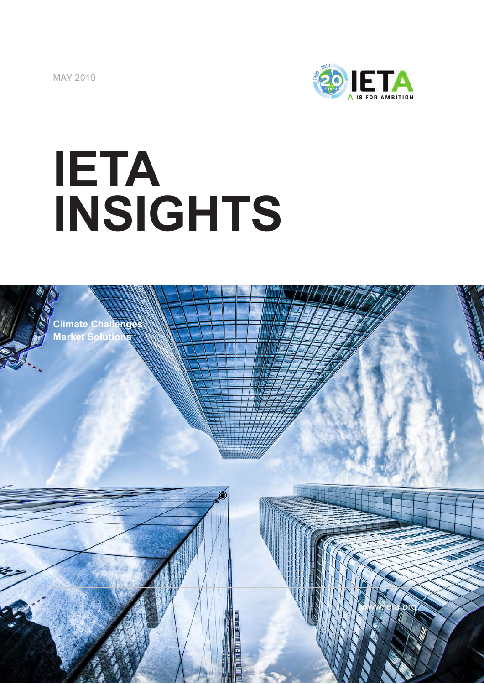MAY 2019



www.ieta.org

## **IETA INSIGHTS**

**Climate Challenges Market Solutions**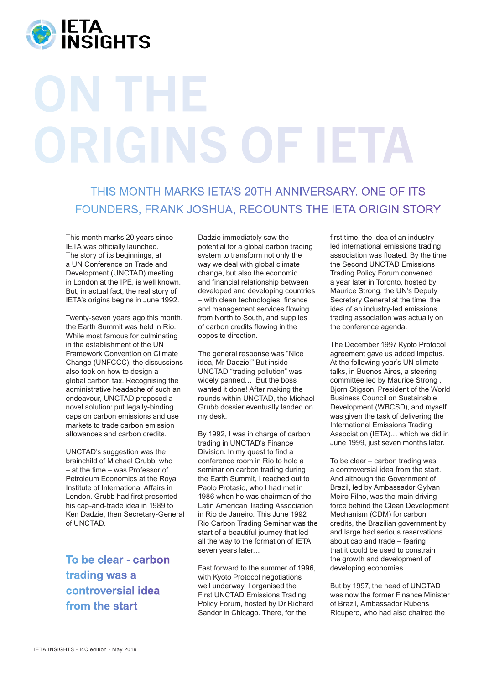

## ON THE ORIGINS OF IETA

THIS MONTH MARKS IETA'S 20TH ANNIVERSARY. ONE OF ITS FOUNDERS, FRANK JOSHUA, RECOUNTS THE IETA ORIGIN STORY

This month marks 20 years since IETA was officially launched. The story of its beginnings, at a UN Conference on Trade and Development (UNCTAD) meeting in London at the IPE, is well known. But, in actual fact, the real story of IETA's origins begins in June 1992.

Twenty-seven years ago this month, the Earth Summit was held in Rio. While most famous for culminating in the establishment of the UN Framework Convention on Climate Change (UNFCCC), the discussions also took on how to design a global carbon tax. Recognising the administrative headache of such an endeavour, UNCTAD proposed a novel solution: put legally-binding caps on carbon emissions and use markets to trade carbon emission allowances and carbon credits.

UNCTAD's suggestion was the brainchild of Michael Grubb, who – at the time – was Professor of Petroleum Economics at the Royal Institute of International Affairs in London. Grubb had first presented his cap-and-trade idea in 1989 to Ken Dadzie, then Secretary-General of UNCTAD.

**To be clear - carbon trading was a controversial idea from the start**

Dadzie immediately saw the potential for a global carbon trading system to transform not only the way we deal with global climate change, but also the economic and financial relationship between developed and developing countries – with clean technologies, finance and management services flowing from North to South, and supplies of carbon credits flowing in the opposite direction.

The general response was "Nice idea, Mr Dadzie!" But inside UNCTAD "trading pollution" was widely panned… But the boss wanted it done! After making the rounds within UNCTAD, the Michael Grubb dossier eventually landed on my desk.

By 1992, I was in charge of carbon trading in UNCTAD's Finance Division. In my quest to find a conference room in Rio to hold a seminar on carbon trading during the Earth Summit, I reached out to Paolo Protasio, who I had met in 1986 when he was chairman of the Latin American Trading Association in Rio de Janeiro. This June 1992 Rio Carbon Trading Seminar was the start of a beautiful journey that led all the way to the formation of IETA seven years later…

Fast forward to the summer of 1996, with Kyoto Protocol negotiations well underway. I organised the First UNCTAD Emissions Trading Policy Forum, hosted by Dr Richard Sandor in Chicago. There, for the

first time, the idea of an industryled international emissions trading association was floated. By the time the Second UNCTAD Emissions Trading Policy Forum convened a year later in Toronto, hosted by Maurice Strong, the UN's Deputy Secretary General at the time, the idea of an industry-led emissions trading association was actually on the conference agenda.

The December 1997 Kyoto Protocol agreement gave us added impetus. At the following year's UN climate talks, in Buenos Aires, a steering committee led by Maurice Strong , Bjorn Stigson, President of the World Business Council on Sustainable Development (WBCSD), and myself was given the task of delivering the International Emissions Trading Association (IETA)… which we did in June 1999, just seven months later.

To be clear – carbon trading was a controversial idea from the start. And although the Government of Brazil, led by Ambassador Gylvan Meiro Filho, was the main driving force behind the Clean Development Mechanism (CDM) for carbon credits, the Brazilian government by and large had serious reservations about cap and trade – fearing that it could be used to constrain the growth and development of developing economies.

But by 1997, the head of UNCTAD was now the former Finance Minister of Brazil, Ambassador Rubens Ricupero, who had also chaired the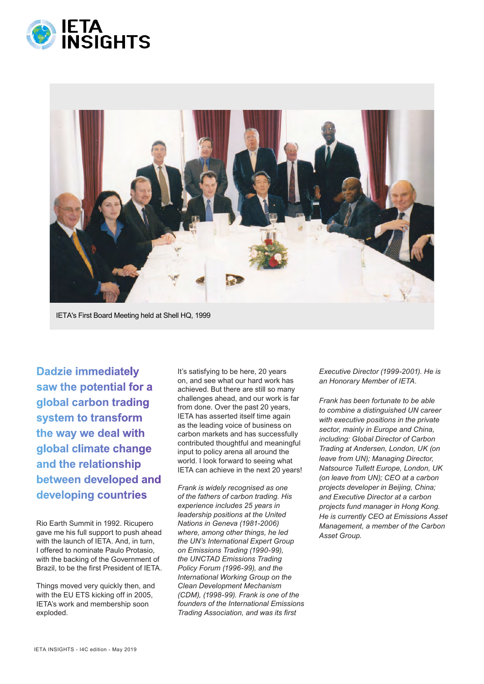



**Dadzie immediately saw the potential for a global carbon trading system to transform the way we deal with global climate change and the relationship between developed and developing countries**

Rio Earth Summit in 1992. Ricupero gave me his full support to push ahead with the launch of IETA. And, in turn, I offered to nominate Paulo Protasio, with the backing of the Government of Brazil, to be the first President of IETA.

Things moved very quickly then, and with the EU ETS kicking off in 2005, IETA's work and membership soon exploded.

It's satisfying to be here, 20 years on, and see what our hard work has achieved. But there are still so many challenges ahead, and our work is far from done. Over the past 20 years, IETA has asserted itself time again as the leading voice of business on carbon markets and has successfully contributed thoughtful and meaningful input to policy arena all around the world. I look forward to seeing what IETA can achieve in the next 20 years!

*Frank is widely recognised as one of the fathers of carbon trading. His experience includes 25 years in leadership positions at the United Nations in Geneva (1981-2006) where, among other things, he led the UN's International Expert Group on Emissions Trading (1990-99), the UNCTAD Emissions Trading Policy Forum (1996-99), and the International Working Group on the Clean Development Mechanism (CDM), (1998-99). Frank is one of the founders of the International Emissions Trading Association, and was its first* 

*Executive Director (1999-2001). He is an Honorary Member of IETA.*

*Frank has been fortunate to be able to combine a distinguished UN career with executive positions in the private sector, mainly in Europe and China, including: Global Director of Carbon Trading at Andersen, London, UK (on leave from UN); Managing Director, Natsource Tullett Europe, London, UK (on leave from UN); CEO at a carbon projects developer in Beijing, China; and Executive Director at a carbon projects fund manager in Hong Kong. He is currently CEO at Emissions Asset Management, a member of the Carbon Asset Group.*